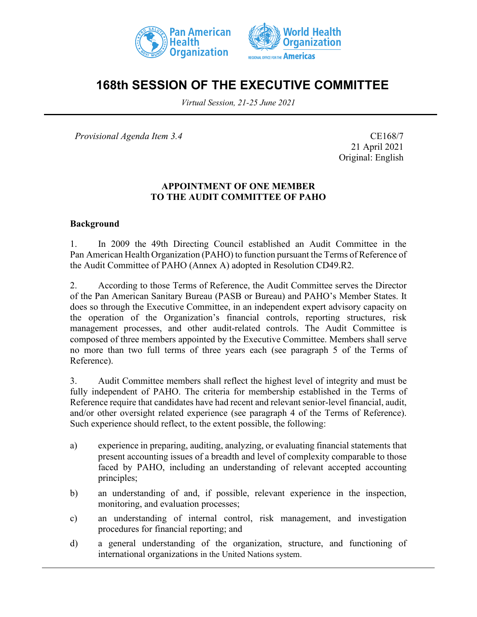



# **168th SESSION OF THE EXECUTIVE COMMITTEE**

*Virtual Session, 21-25 June 2021*

*Provisional Agenda Item 3.4* CE168/7

21 April 2021 Original: English

#### **APPOINTMENT OF ONE MEMBER TO THE AUDIT COMMITTEE OF PAHO**

#### **Background**

1. In 2009 the 49th Directing Council established an Audit Committee in the Pan American Health Organization (PAHO) to function pursuant the Terms of Reference of the Audit Committee of PAHO (Annex A) adopted in Resolution CD49.R2.

2. According to those Terms of Reference, the Audit Committee serves the Director of the Pan American Sanitary Bureau (PASB or Bureau) and PAHO's Member States. It does so through the Executive Committee, in an independent expert advisory capacity on the operation of the Organization's financial controls, reporting structures, risk management processes, and other audit-related controls. The Audit Committee is composed of three members appointed by the Executive Committee. Members shall serve no more than two full terms of three years each (see paragraph 5 of the Terms of Reference).

3. Audit Committee members shall reflect the highest level of integrity and must be fully independent of PAHO. The criteria for membership established in the Terms of Reference require that candidates have had recent and relevant senior-level financial, audit, and/or other oversight related experience (see paragraph 4 of the Terms of Reference). Such experience should reflect, to the extent possible, the following:

- a) experience in preparing, auditing, analyzing, or evaluating financial statements that present accounting issues of a breadth and level of complexity comparable to those faced by PAHO, including an understanding of relevant accepted accounting principles;
- b) an understanding of and, if possible, relevant experience in the inspection, monitoring, and evaluation processes;
- c) an understanding of internal control, risk management, and investigation procedures for financial reporting; and
- d) a general understanding of the organization, structure, and functioning of international organizations in the United Nations system.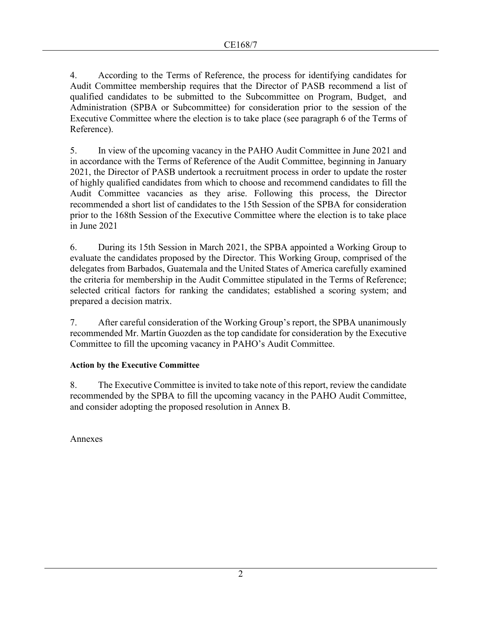4. According to the Terms of Reference, the process for identifying candidates for Audit Committee membership requires that the Director of PASB recommend a list of qualified candidates to be submitted to the Subcommittee on Program, Budget, and Administration (SPBA or Subcommittee) for consideration prior to the session of the Executive Committee where the election is to take place (see paragraph 6 of the Terms of Reference).

5. In view of the upcoming vacancy in the PAHO Audit Committee in June 2021 and in accordance with the Terms of Reference of the Audit Committee, beginning in January 2021, the Director of PASB undertook a recruitment process in order to update the roster of highly qualified candidates from which to choose and recommend candidates to fill the Audit Committee vacancies as they arise. Following this process, the Director recommended a short list of candidates to the 15th Session of the SPBA for consideration prior to the 168th Session of the Executive Committee where the election is to take place in June 2021

6. During its 15th Session in March 2021, the SPBA appointed a Working Group to evaluate the candidates proposed by the Director. This Working Group, comprised of the delegates from Barbados, Guatemala and the United States of America carefully examined the criteria for membership in the Audit Committee stipulated in the Terms of Reference; selected critical factors for ranking the candidates; established a scoring system; and prepared a decision matrix.

7. After careful consideration of the Working Group's report, the SPBA unanimously recommended Mr. Martín Guozden as the top candidate for consideration by the Executive Committee to fill the upcoming vacancy in PAHO's Audit Committee.

## **Action by the Executive Committee**

8. The Executive Committee is invited to take note of this report, review the candidate recommended by the SPBA to fill the upcoming vacancy in the PAHO Audit Committee, and consider adopting the proposed resolution in Annex B.

Annexes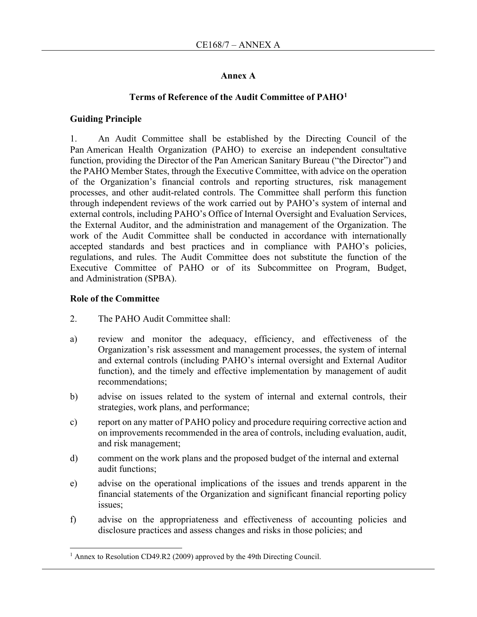### **Annex A**

#### **Terms of Reference of the Audit Committee of PAHO[1](#page-2-0)**

#### **Guiding Principle**

1. An Audit Committee shall be established by the Directing Council of the Pan American Health Organization (PAHO) to exercise an independent consultative function, providing the Director of the Pan American Sanitary Bureau ("the Director") and the PAHO Member States, through the Executive Committee, with advice on the operation of the Organization's financial controls and reporting structures, risk management processes, and other audit-related controls. The Committee shall perform this function through independent reviews of the work carried out by PAHO's system of internal and external controls, including PAHO's Office of Internal Oversight and Evaluation Services, the External Auditor, and the administration and management of the Organization. The work of the Audit Committee shall be conducted in accordance with internationally accepted standards and best practices and in compliance with PAHO's policies, regulations, and rules. The Audit Committee does not substitute the function of the Executive Committee of PAHO or of its Subcommittee on Program, Budget, and Administration (SPBA).

#### **Role of the Committee**

- 2. The PAHO Audit Committee shall:
- a) review and monitor the adequacy, efficiency, and effectiveness of the Organization's risk assessment and management processes, the system of internal and external controls (including PAHO's internal oversight and External Auditor function), and the timely and effective implementation by management of audit recommendations;
- b) advise on issues related to the system of internal and external controls, their strategies, work plans, and performance;
- c) report on any matter of PAHO policy and procedure requiring corrective action and on improvements recommended in the area of controls, including evaluation, audit, and risk management;
- d) comment on the work plans and the proposed budget of the internal and external audit functions;
- e) advise on the operational implications of the issues and trends apparent in the financial statements of the Organization and significant financial reporting policy issues;
- f) advise on the appropriateness and effectiveness of accounting policies and disclosure practices and assess changes and risks in those policies; and

<span id="page-2-0"></span><sup>&</sup>lt;sup>1</sup> Annex to Resolution CD49.R2 (2009) approved by the 49th Directing Council.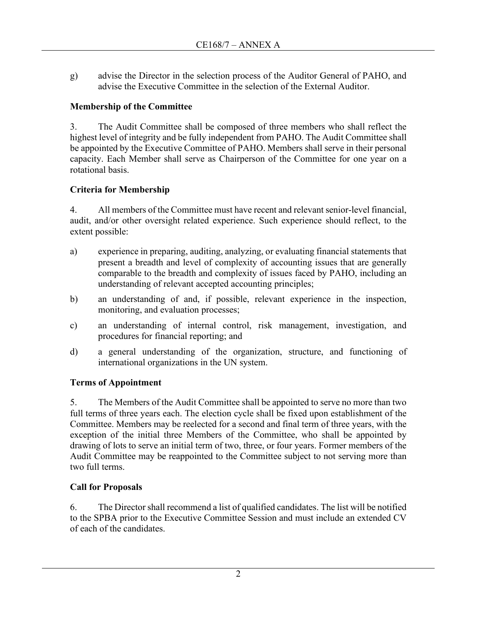g) advise the Director in the selection process of the Auditor General of PAHO, and advise the Executive Committee in the selection of the External Auditor.

## **Membership of the Committee**

3. The Audit Committee shall be composed of three members who shall reflect the highest level of integrity and be fully independent from PAHO. The Audit Committee shall be appointed by the Executive Committee of PAHO. Members shall serve in their personal capacity. Each Member shall serve as Chairperson of the Committee for one year on a rotational basis.

# **Criteria for Membership**

4. All members of the Committee must have recent and relevant senior-level financial, audit, and/or other oversight related experience. Such experience should reflect, to the extent possible:

- a) experience in preparing, auditing, analyzing, or evaluating financial statements that present a breadth and level of complexity of accounting issues that are generally comparable to the breadth and complexity of issues faced by PAHO, including an understanding of relevant accepted accounting principles;
- b) an understanding of and, if possible, relevant experience in the inspection, monitoring, and evaluation processes;
- c) an understanding of internal control, risk management, investigation, and procedures for financial reporting; and
- d) a general understanding of the organization, structure, and functioning of international organizations in the UN system.

# **Terms of Appointment**

5. The Members of the Audit Committee shall be appointed to serve no more than two full terms of three years each. The election cycle shall be fixed upon establishment of the Committee. Members may be reelected for a second and final term of three years, with the exception of the initial three Members of the Committee, who shall be appointed by drawing of lots to serve an initial term of two, three, or four years. Former members of the Audit Committee may be reappointed to the Committee subject to not serving more than two full terms.

# **Call for Proposals**

6. The Director shall recommend a list of qualified candidates. The list will be notified to the SPBA prior to the Executive Committee Session and must include an extended CV of each of the candidates.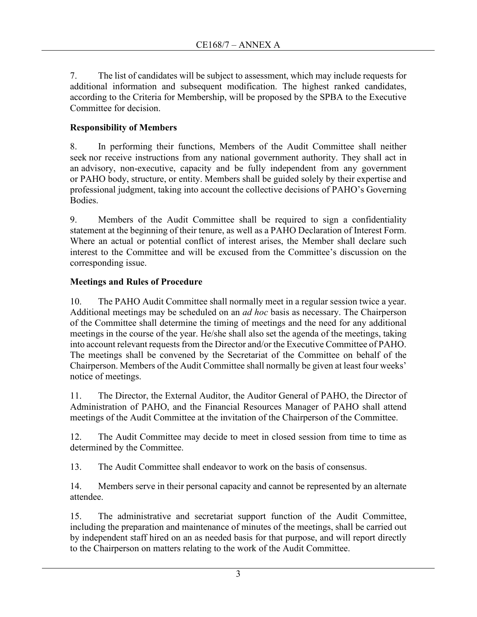7. The list of candidates will be subject to assessment, which may include requests for additional information and subsequent modification. The highest ranked candidates, according to the Criteria for Membership, will be proposed by the SPBA to the Executive Committee for decision.

# **Responsibility of Members**

8. In performing their functions, Members of the Audit Committee shall neither seek nor receive instructions from any national government authority. They shall act in an advisory, non-executive, capacity and be fully independent from any government or PAHO body, structure, or entity. Members shall be guided solely by their expertise and professional judgment, taking into account the collective decisions of PAHO's Governing Bodies.

9. Members of the Audit Committee shall be required to sign a confidentiality statement at the beginning of their tenure, as well as a PAHO Declaration of Interest Form. Where an actual or potential conflict of interest arises, the Member shall declare such interest to the Committee and will be excused from the Committee's discussion on the corresponding issue.

## **Meetings and Rules of Procedure**

10. The PAHO Audit Committee shall normally meet in a regular session twice a year. Additional meetings may be scheduled on an *ad hoc* basis as necessary. The Chairperson of the Committee shall determine the timing of meetings and the need for any additional meetings in the course of the year. He/she shall also set the agenda of the meetings, taking into account relevant requests from the Director and/or the Executive Committee of PAHO. The meetings shall be convened by the Secretariat of the Committee on behalf of the Chairperson. Members of the Audit Committee shall normally be given at least four weeks' notice of meetings.

11. The Director, the External Auditor, the Auditor General of PAHO, the Director of Administration of PAHO, and the Financial Resources Manager of PAHO shall attend meetings of the Audit Committee at the invitation of the Chairperson of the Committee.

12. The Audit Committee may decide to meet in closed session from time to time as determined by the Committee.

13. The Audit Committee shall endeavor to work on the basis of consensus.

14. Members serve in their personal capacity and cannot be represented by an alternate attendee.

15. The administrative and secretariat support function of the Audit Committee, including the preparation and maintenance of minutes of the meetings, shall be carried out by independent staff hired on an as needed basis for that purpose, and will report directly to the Chairperson on matters relating to the work of the Audit Committee.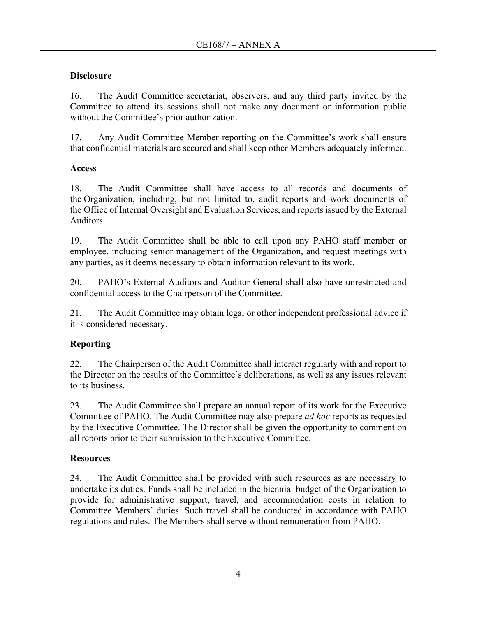# **Disclosure**

16. The Audit Committee secretariat, observers, and any third party invited by the Committee to attend its sessions shall not make any document or information public without the Committee's prior authorization.

17. Any Audit Committee Member reporting on the Committee's work shall ensure that confidential materials are secured and shall keep other Members adequately informed.

# **Access**

18. The Audit Committee shall have access to all records and documents of the Organization, including, but not limited to, audit reports and work documents of the Office of Internal Oversight and Evaluation Services, and reports issued by the External Auditors.

19. The Audit Committee shall be able to call upon any PAHO staff member or employee, including senior management of the Organization, and request meetings with any parties, as it deems necessary to obtain information relevant to its work.

20. PAHO's External Auditors and Auditor General shall also have unrestricted and confidential access to the Chairperson of the Committee.

21. The Audit Committee may obtain legal or other independent professional advice if it is considered necessary.

# **Reporting**

22. The Chairperson of the Audit Committee shall interact regularly with and report to the Director on the results of the Committee's deliberations, as well as any issues relevant to its business.

23. The Audit Committee shall prepare an annual report of its work for the Executive Committee of PAHO. The Audit Committee may also prepare *ad hoc* reports as requested by the Executive Committee. The Director shall be given the opportunity to comment on all reports prior to their submission to the Executive Committee.

# **Resources**

24. The Audit Committee shall be provided with such resources as are necessary to undertake its duties. Funds shall be included in the biennial budget of the Organization to provide for administrative support, travel, and accommodation costs in relation to Committee Members' duties. Such travel shall be conducted in accordance with PAHO regulations and rules. The Members shall serve without remuneration from PAHO.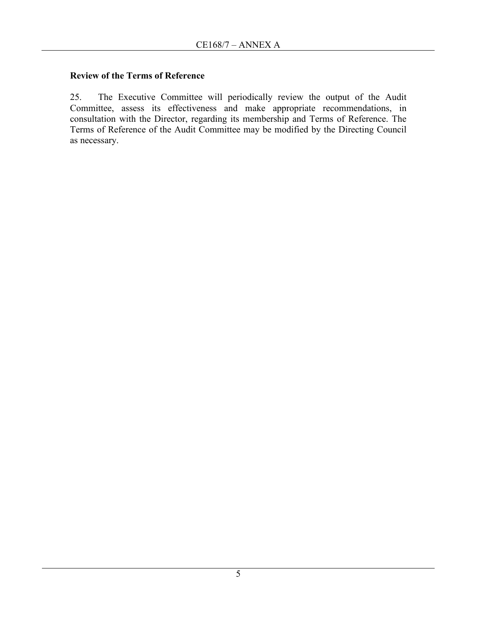### **Review of the Terms of Reference**

25. The Executive Committee will periodically review the output of the Audit Committee, assess its effectiveness and make appropriate recommendations, in consultation with the Director, regarding its membership and Terms of Reference. The Terms of Reference of the Audit Committee may be modified by the Directing Council as necessary.